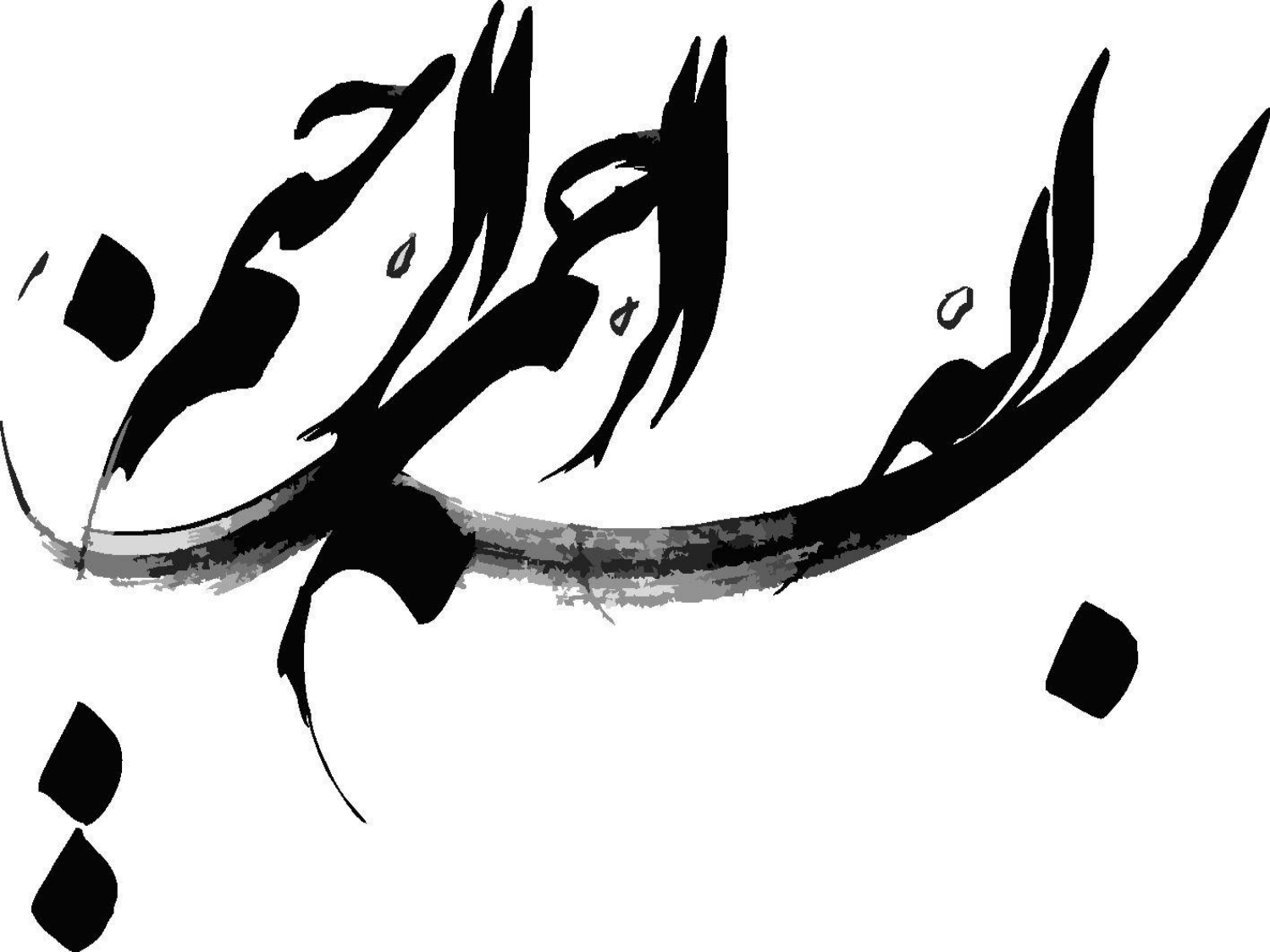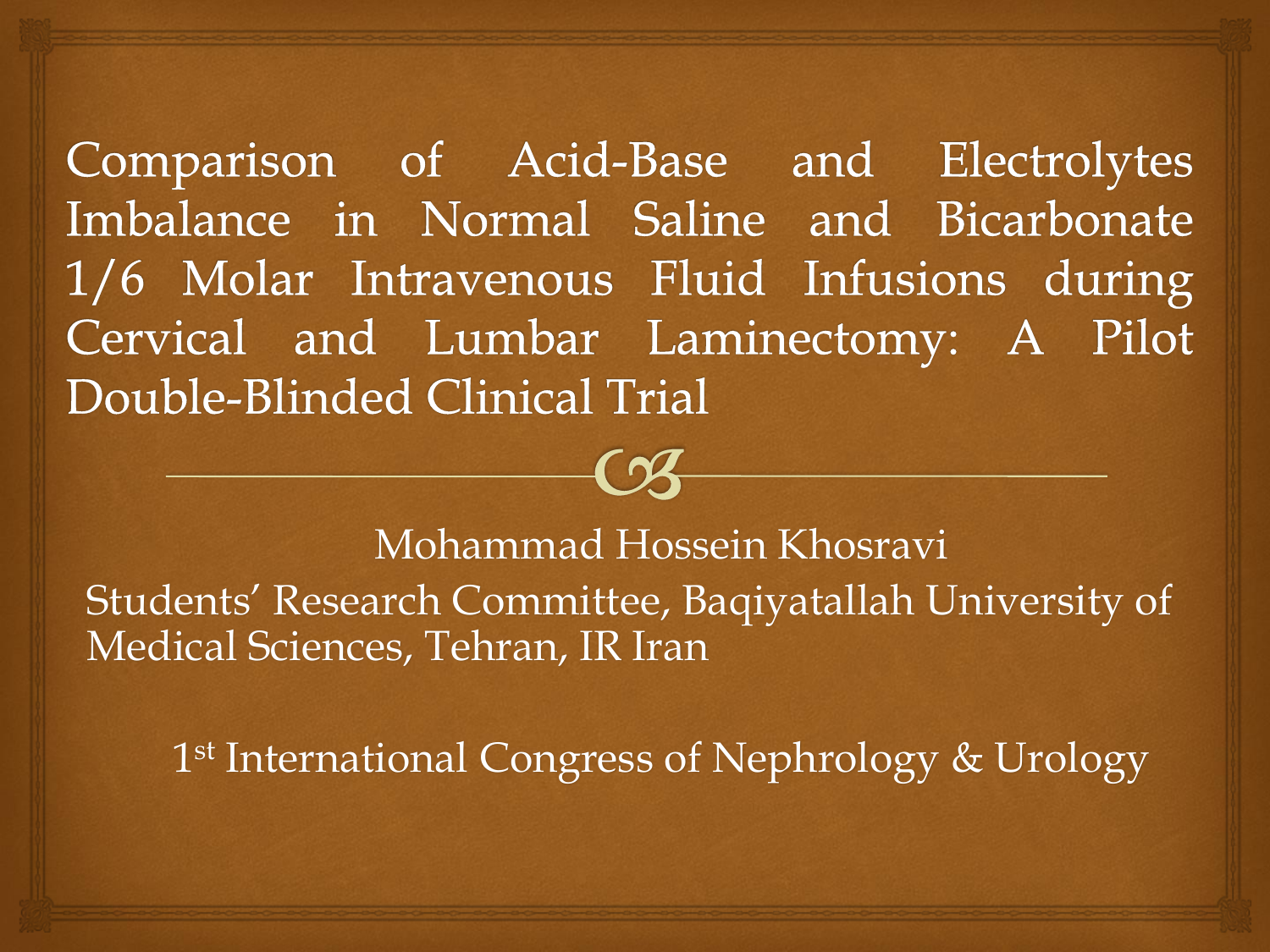Comparison of Acid-Base and Electrolytes Imbalance in Normal Saline and Bicarbonate 1/6 Molar Intravenous Fluid Infusions during Cervical and Lumbar Laminectomy: A Pilot Double-Blinded Clinical Trial

Mohammad Hossein Khosravi Students' Research Committee, Baqiyatallah University of Medical Sciences, Tehran, IR Iran

 $\Omega$ 

1 st International Congress of Nephrology & Urology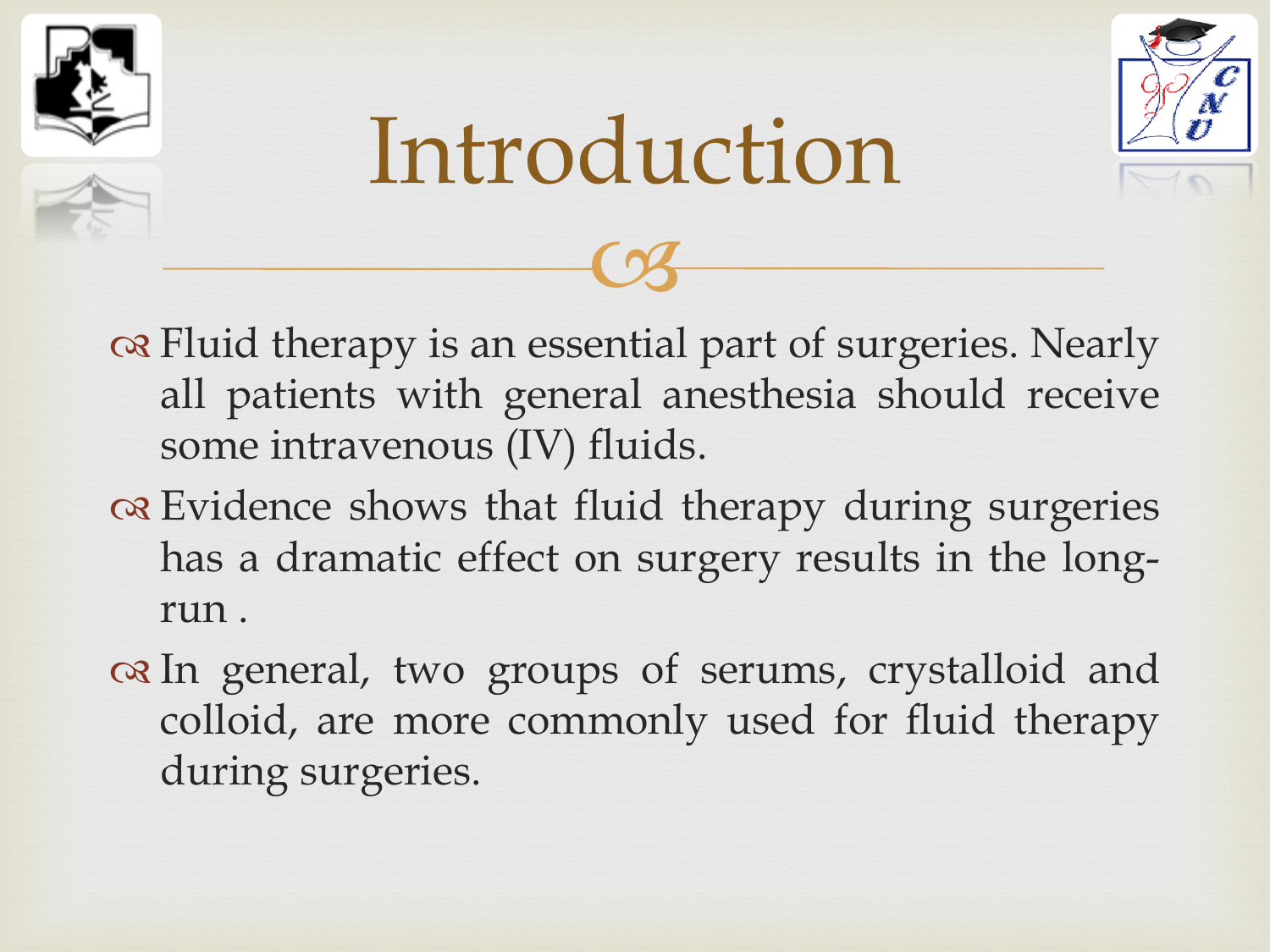



# Introduction

 $C<sub>3</sub>$ 

- or Fluid therapy is an essential part of surgeries. Nearly all patients with general anesthesia should receive some intravenous (IV) fluids.
- on Evidence shows that fluid therapy during surgeries has a dramatic effect on surgery results in the longrun .
- $\alpha$  In general, two groups of serums, crystalloid and colloid, are more commonly used for fluid therapy during surgeries.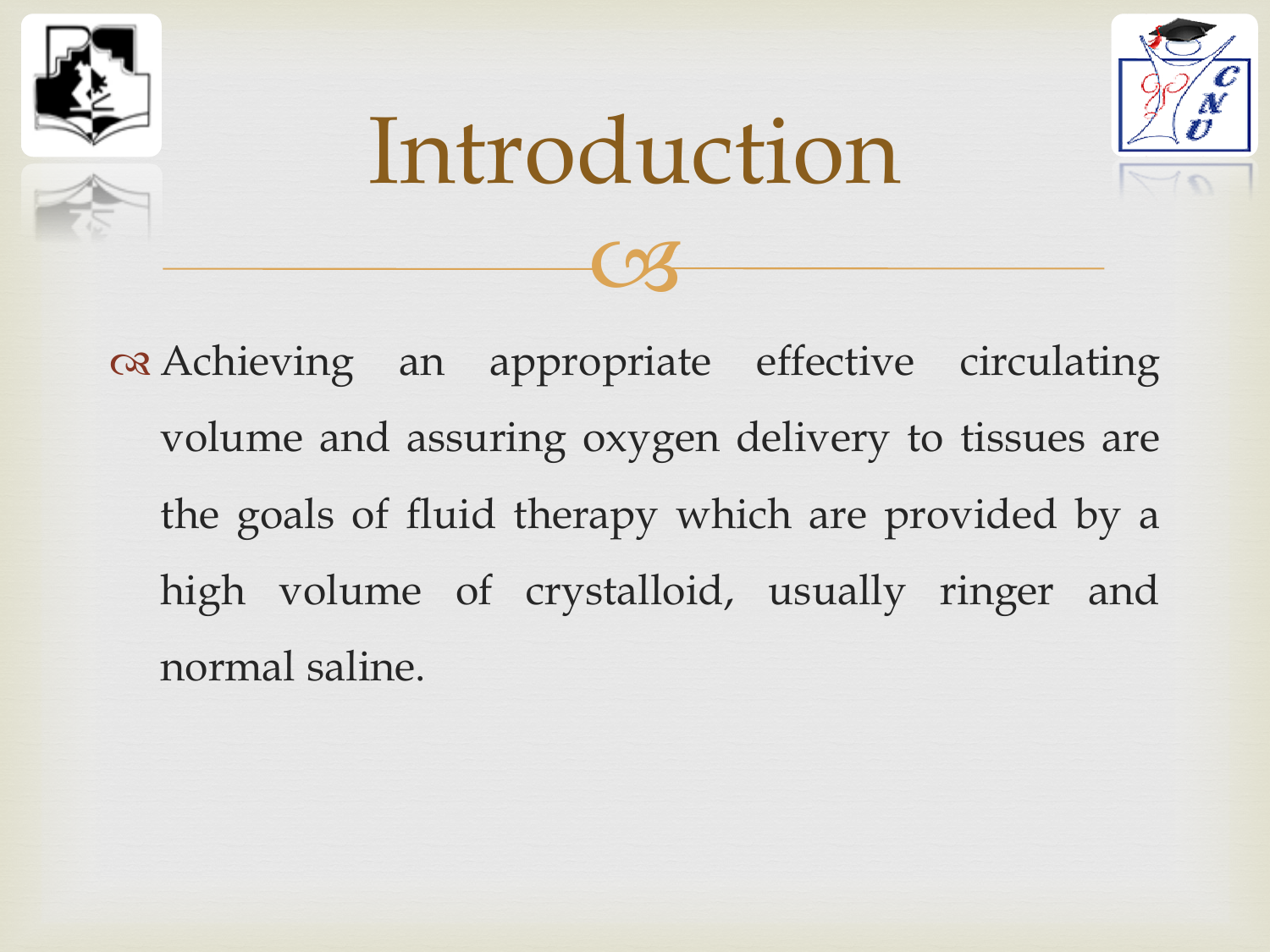



## Introduction

 $C<sub>3</sub>$ 

 Achieving an appropriate effective circulating volume and assuring oxygen delivery to tissues are the goals of fluid therapy which are provided by a high volume of crystalloid, usually ringer and normal saline.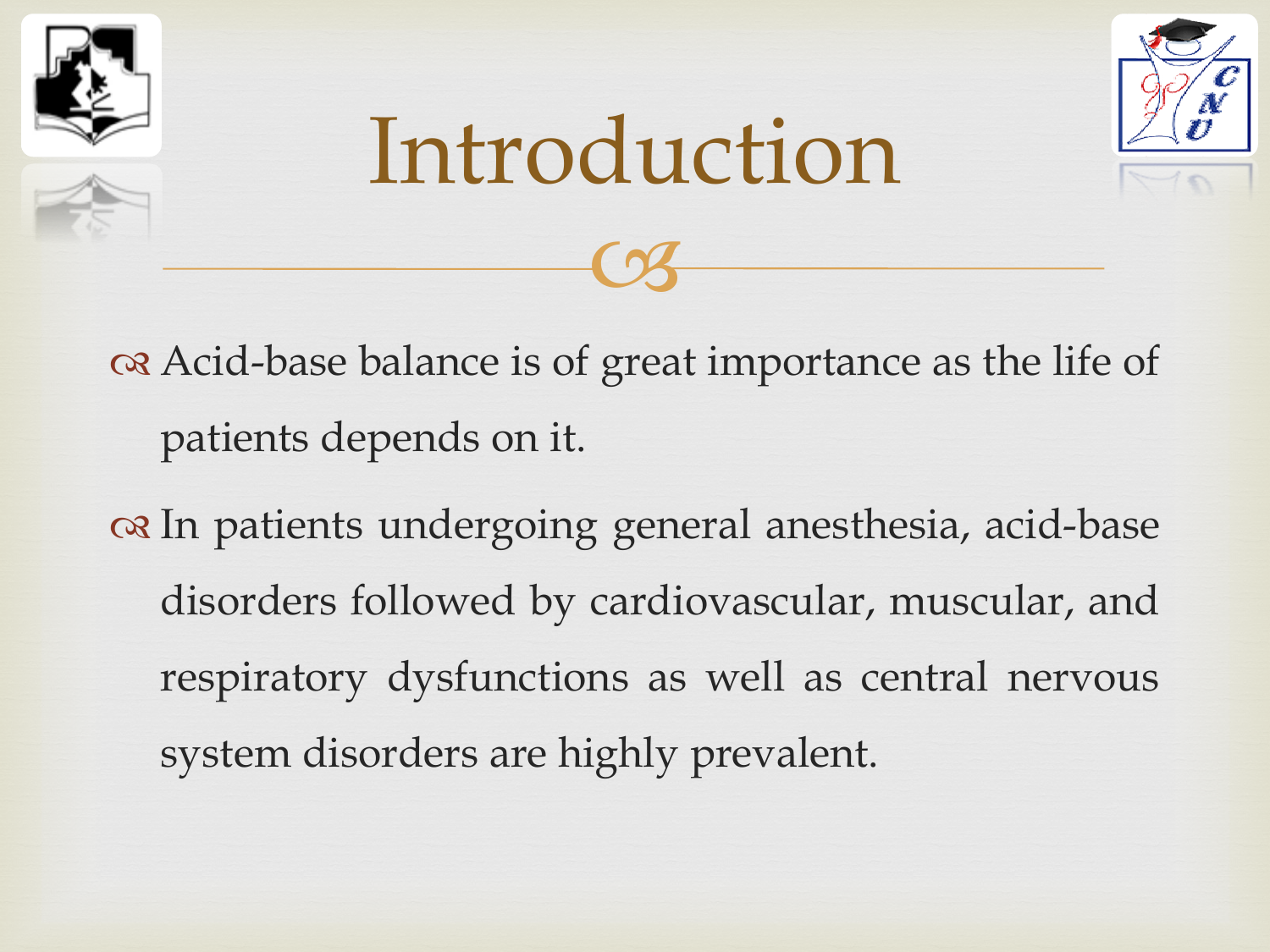





- Acid-base balance is of great importance as the life of patients depends on it.
- In patients undergoing general anesthesia, acid-base disorders followed by cardiovascular, muscular, and respiratory dysfunctions as well as central nervous system disorders are highly prevalent.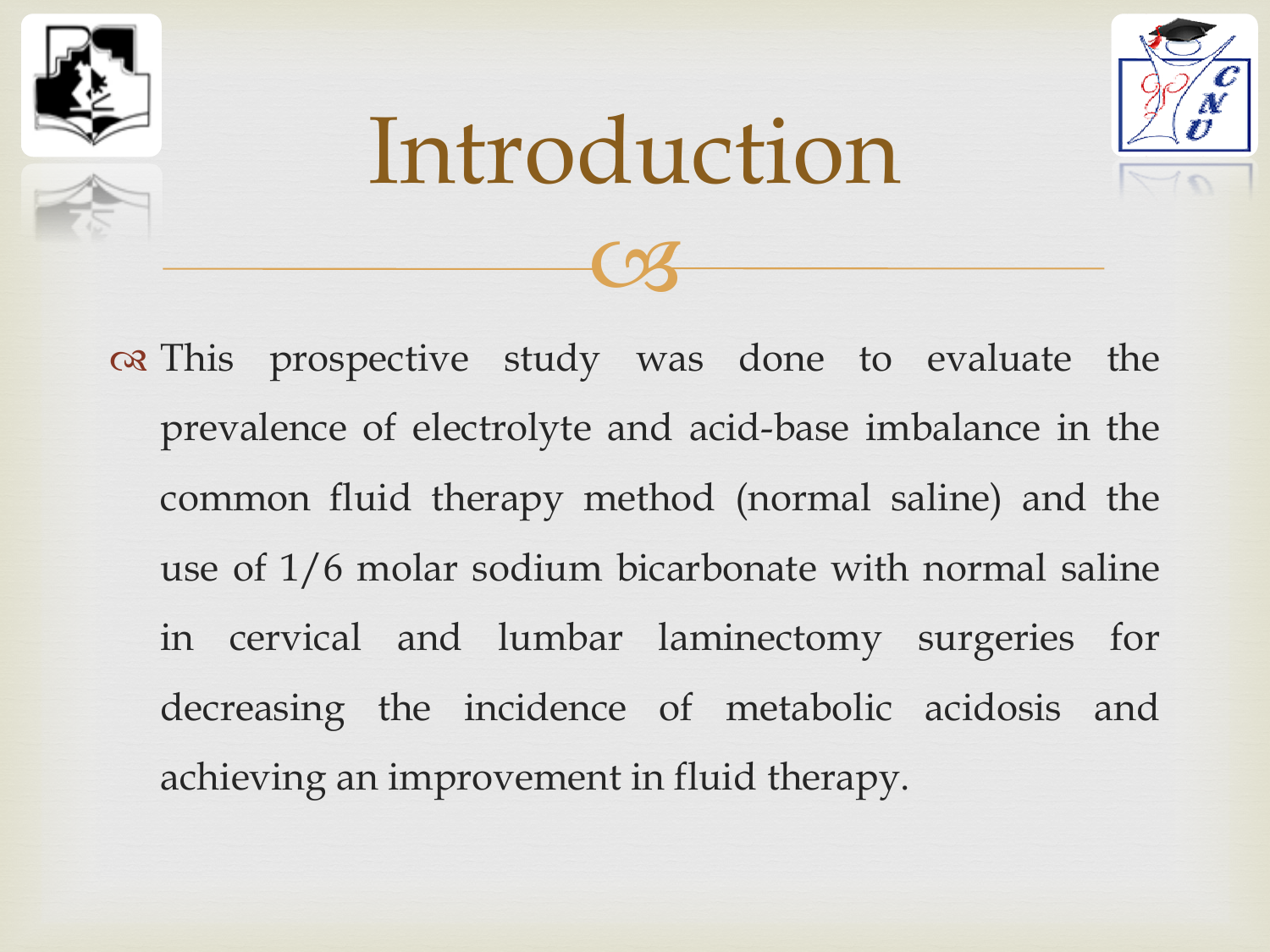





 This prospective study was done to evaluate the prevalence of electrolyte and acid-base imbalance in the common fluid therapy method (normal saline) and the use of 1/6 molar sodium bicarbonate with normal saline in cervical and lumbar laminectomy surgeries for decreasing the incidence of metabolic acidosis and achieving an improvement in fluid therapy.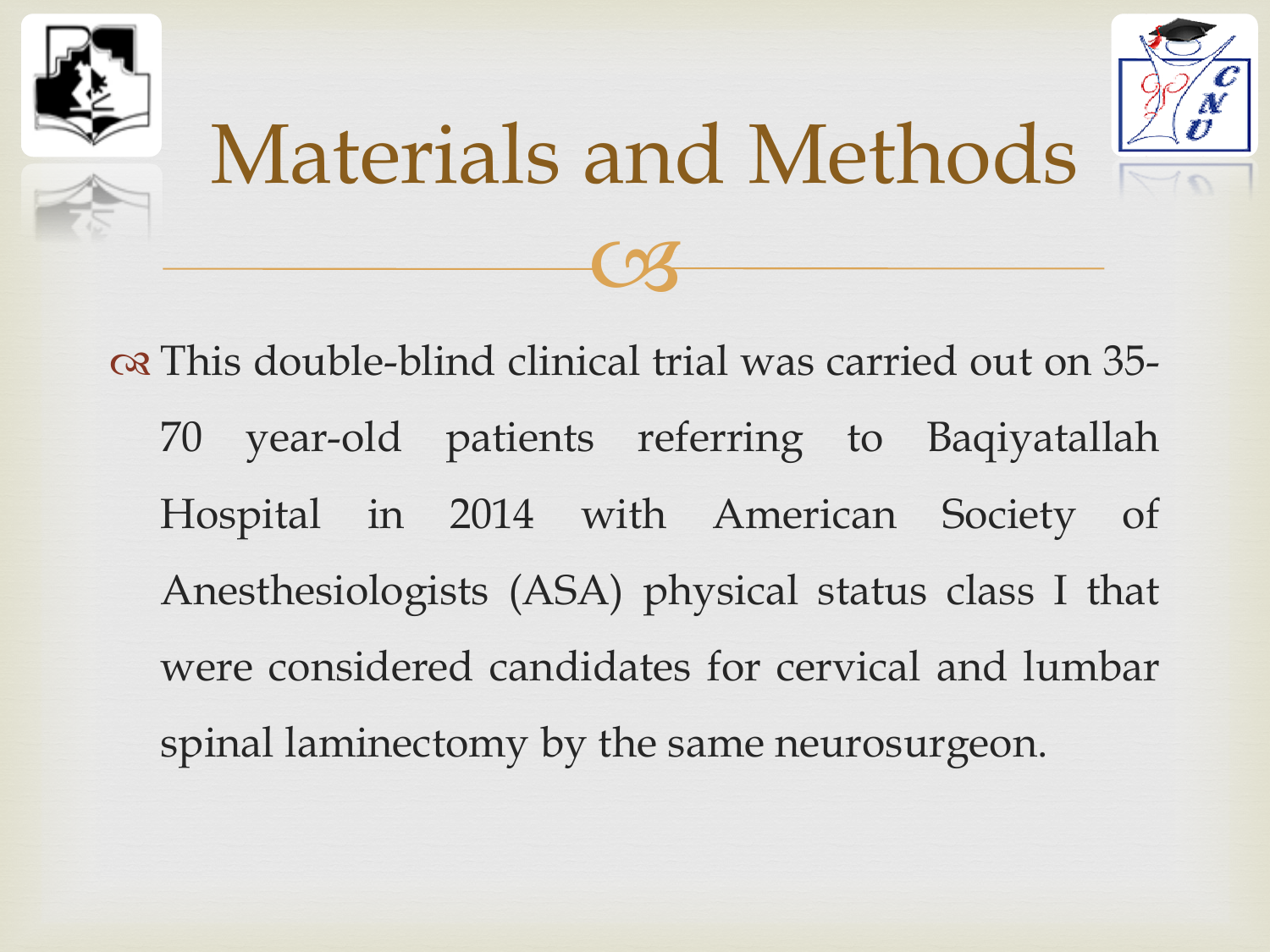



# $C<sub>3</sub>$ Materials and Methods

 This double-blind clinical trial was carried out on 35- 70 year-old patients referring to Baqiyatallah Hospital in 2014 with American Society of Anesthesiologists (ASA) physical status class I that were considered candidates for cervical and lumbar spinal laminectomy by the same neurosurgeon.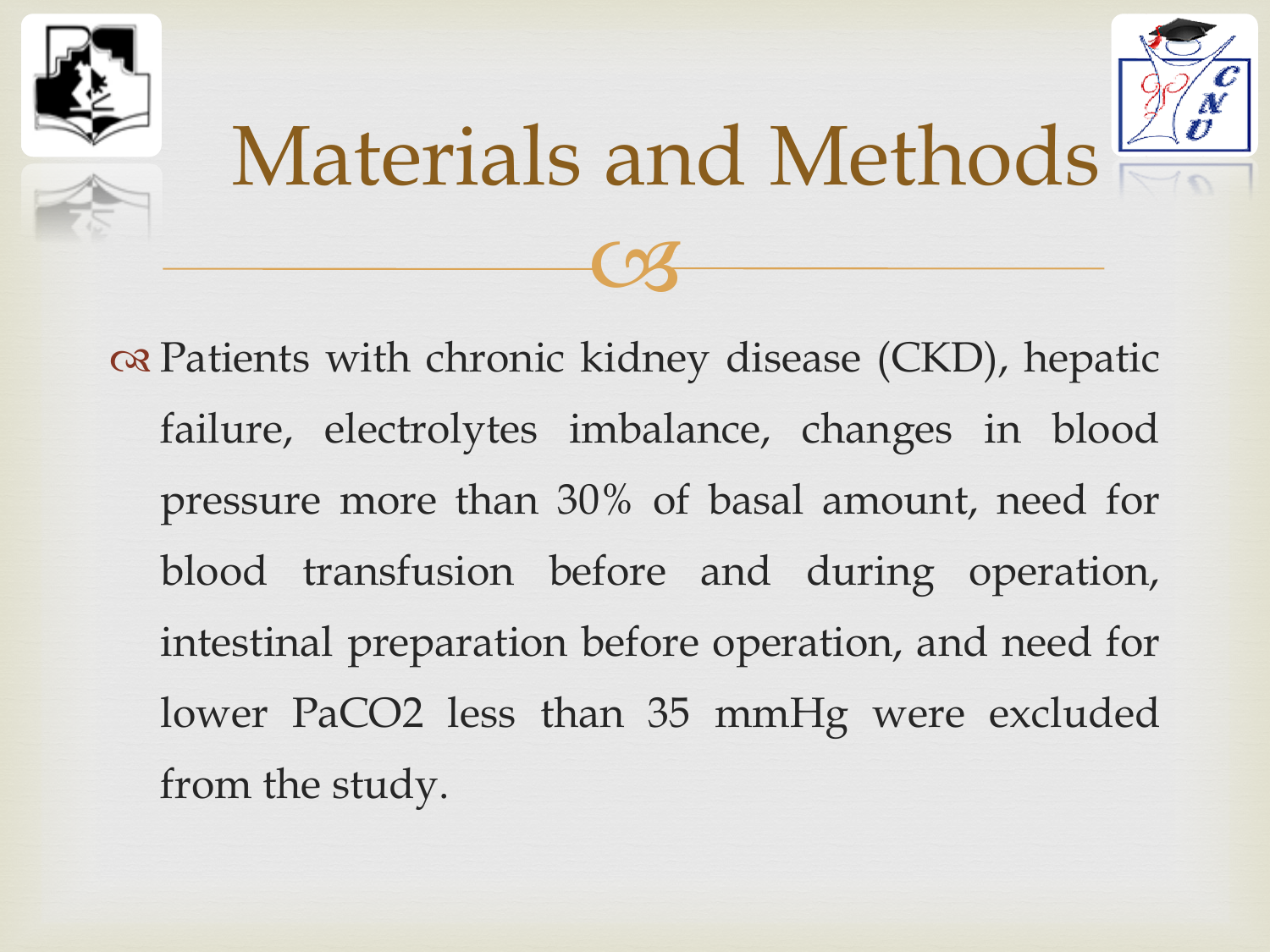



 $C<sub>3</sub>$ 

os Patients with chronic kidney disease (CKD), hepatic failure, electrolytes imbalance, changes in blood pressure more than 30% of basal amount, need for blood transfusion before and during operation, intestinal preparation before operation, and need for lower PaCO2 less than 35 mmHg were excluded from the study.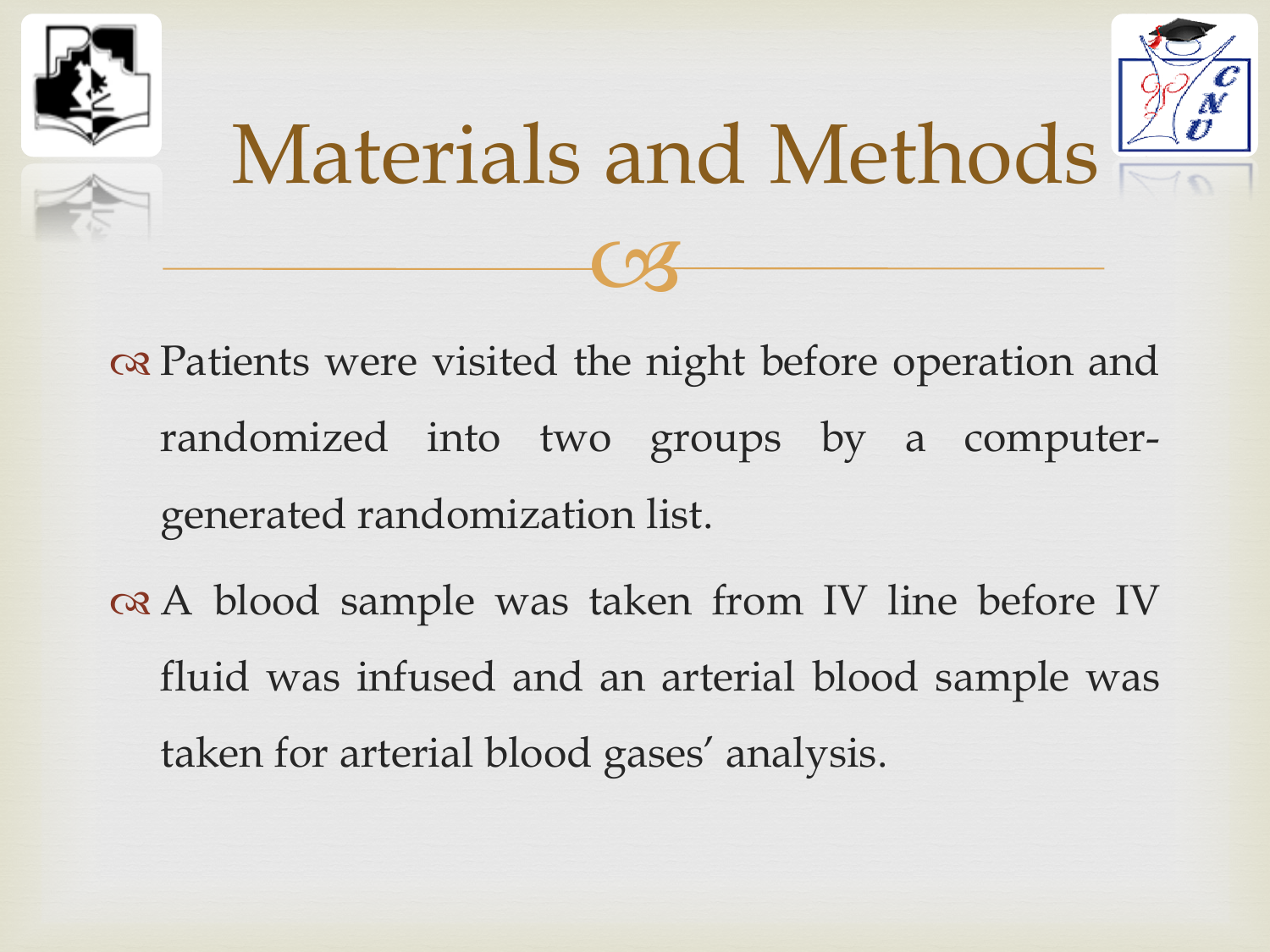



on Patients were visited the night before operation and randomized into two groups by a computergenerated randomization list.

 $C<sub>3</sub>$ 

 A blood sample was taken from IV line before IV fluid was infused and an arterial blood sample was taken for arterial blood gases' analysis.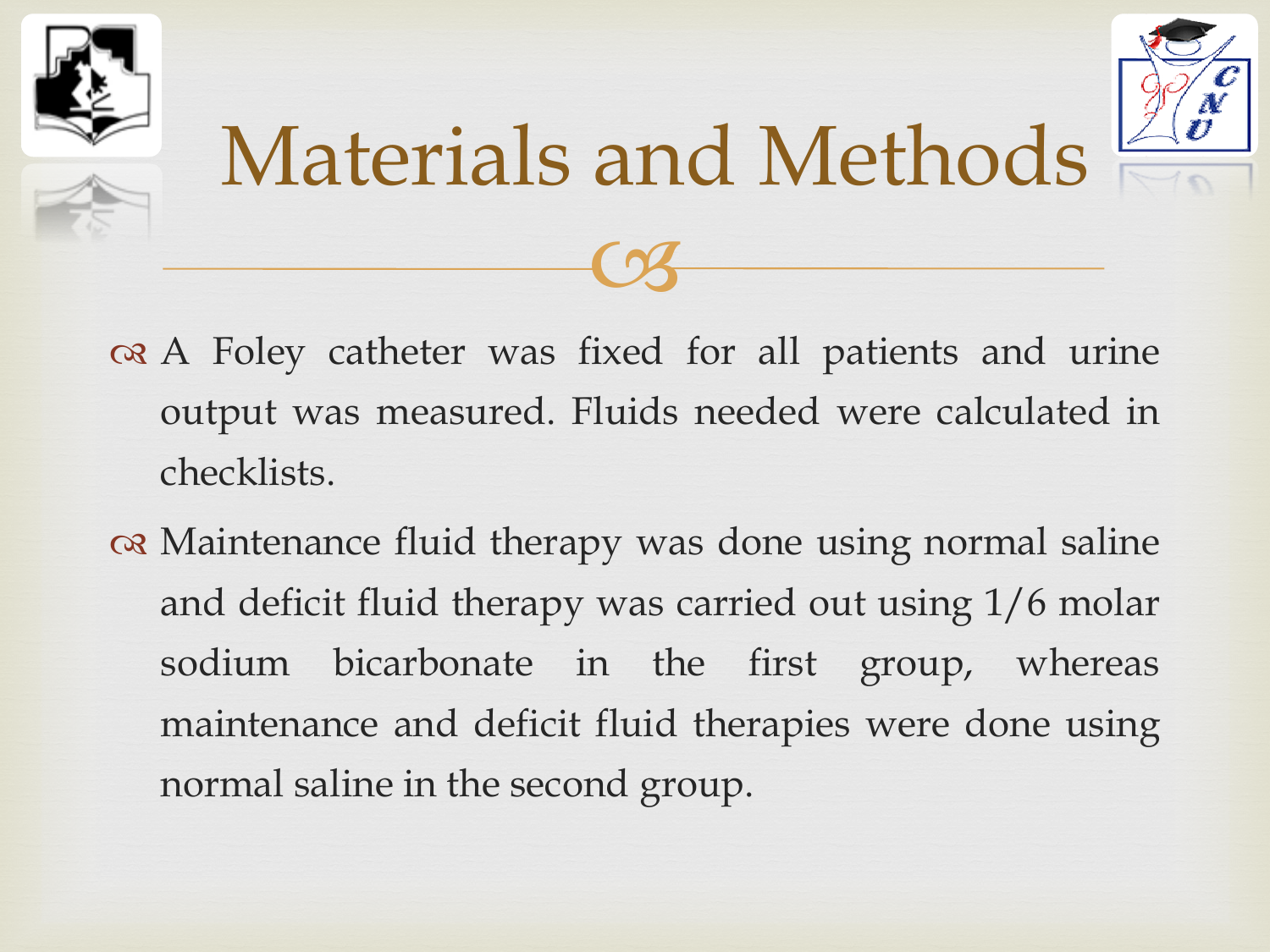



 A Foley catheter was fixed for all patients and urine output was measured. Fluids needed were calculated in checklists.

 $C<sub>3</sub>$ 

or Maintenance fluid therapy was done using normal saline and deficit fluid therapy was carried out using 1/6 molar sodium bicarbonate in the first group, whereas maintenance and deficit fluid therapies were done using normal saline in the second group.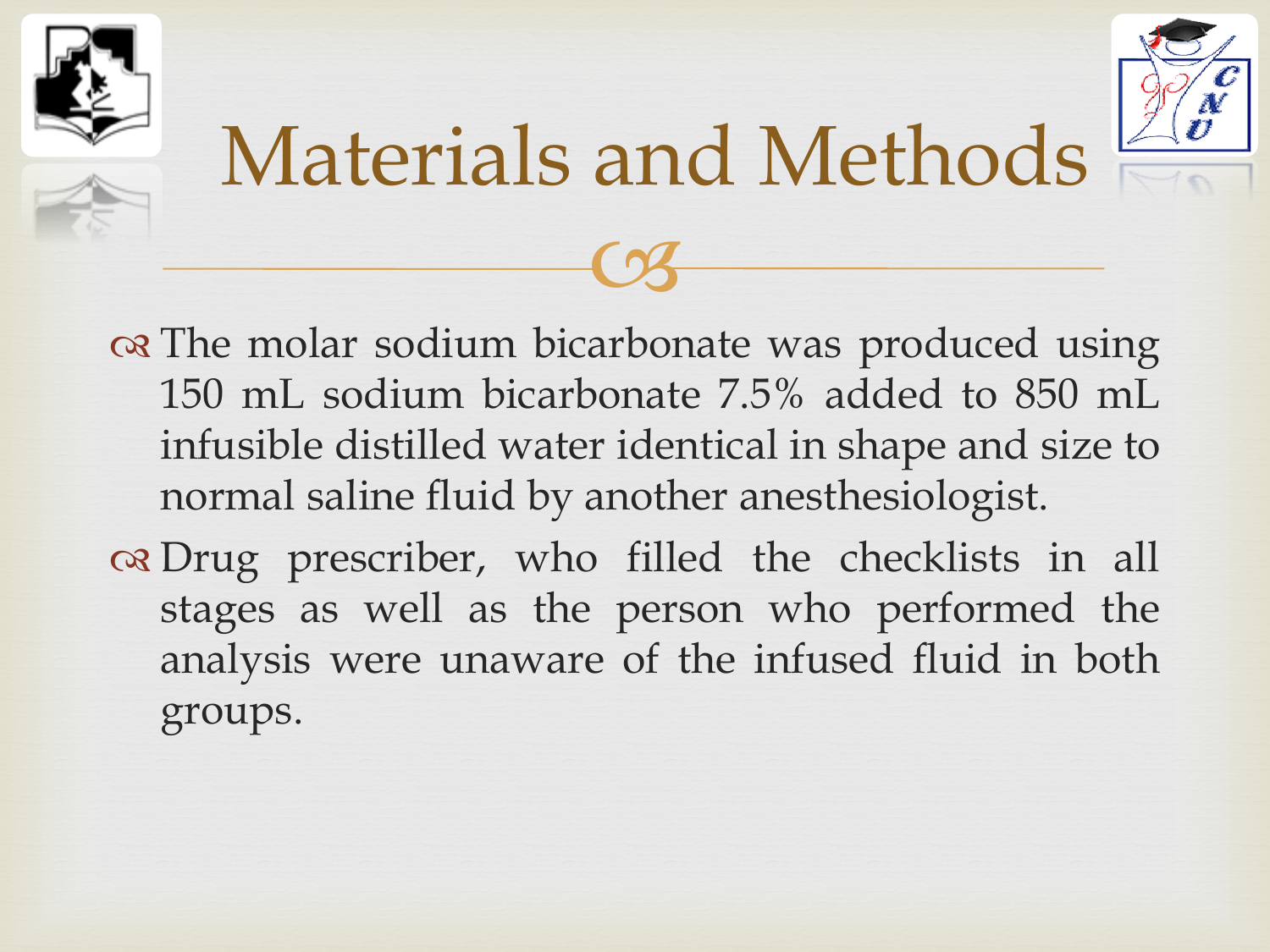



on The molar sodium bicarbonate was produced using 150 mL sodium bicarbonate 7.5% added to 850 mL infusible distilled water identical in shape and size to normal saline fluid by another anesthesiologist.

 $C<sub>3</sub>$ 

 Drug prescriber, who filled the checklists in all stages as well as the person who performed the analysis were unaware of the infused fluid in both groups.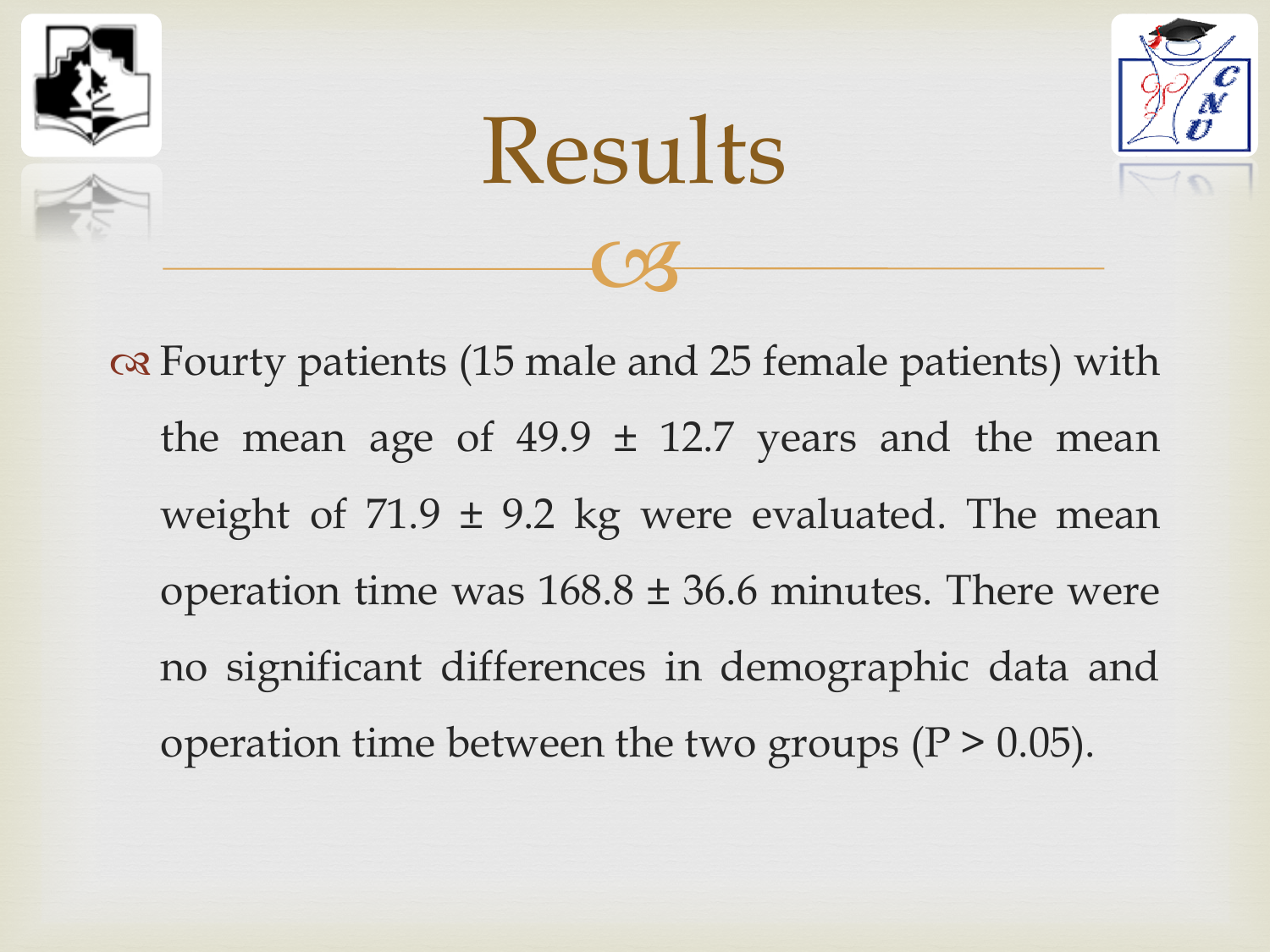



or Fourty patients (15 male and 25 female patients) with the mean age of  $49.9 \pm 12.7$  years and the mean weight of  $71.9 \pm 9.2$  kg were evaluated. The mean operation time was  $168.8 \pm 36.6$  minutes. There were no significant differences in demographic data and operation time between the two groups  $(P > 0.05)$ .

 $C<sub>3</sub>$ 

Results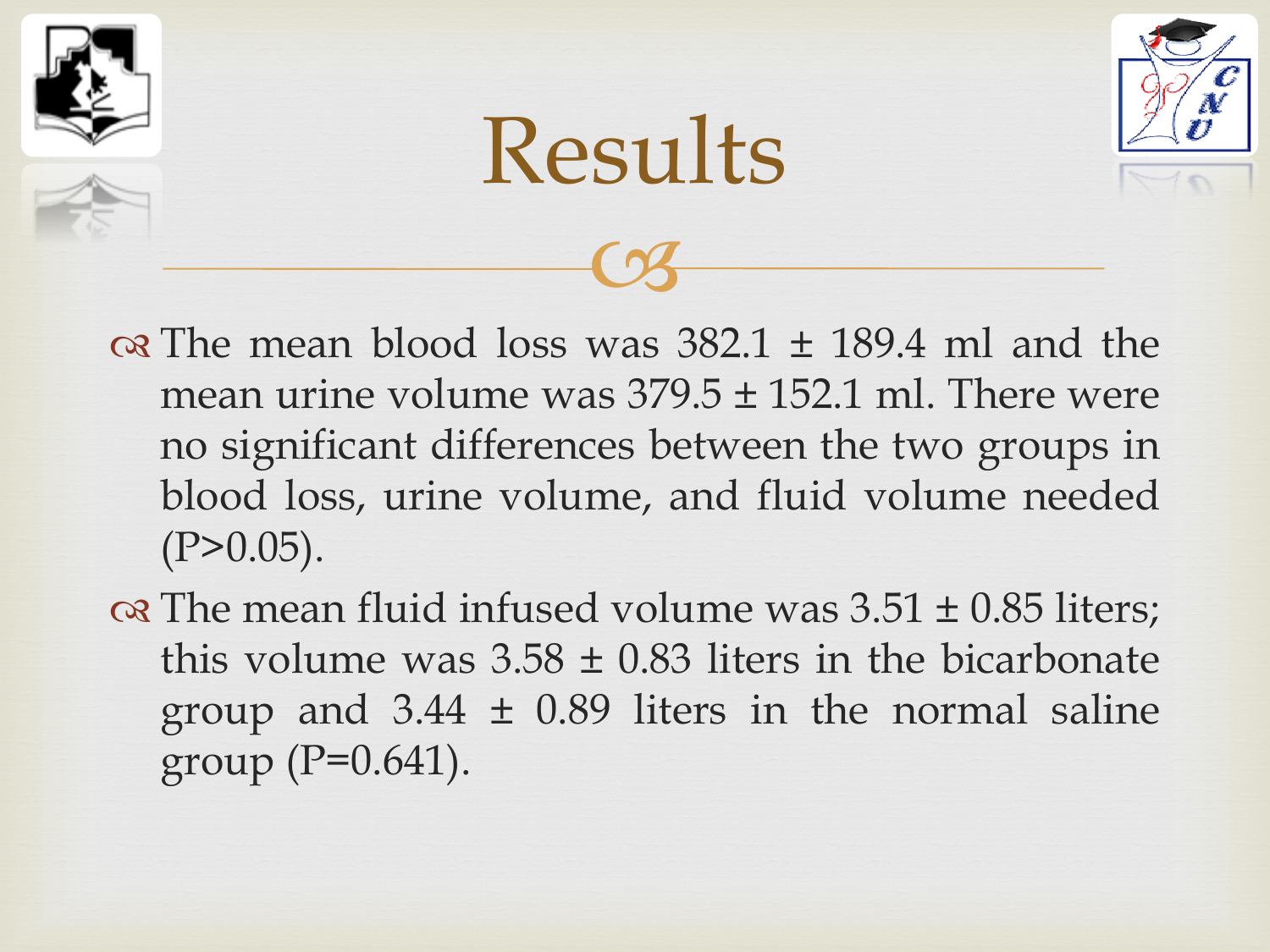





- $\alpha$  The mean blood loss was 382.1  $\pm$  189.4 ml and the mean urine volume was  $379.5 \pm 152.1$  ml. There were no significant differences between the two groups in blood loss, urine volume, and fluid volume needed  $(P>0.05)$ .
- $\infty$  The mean fluid infused volume was  $3.51 \pm 0.85$  liters; this volume was  $3.58 \pm 0.83$  liters in the bicarbonate group and  $3.44 \pm 0.89$  liters in the normal saline group (P=0.641).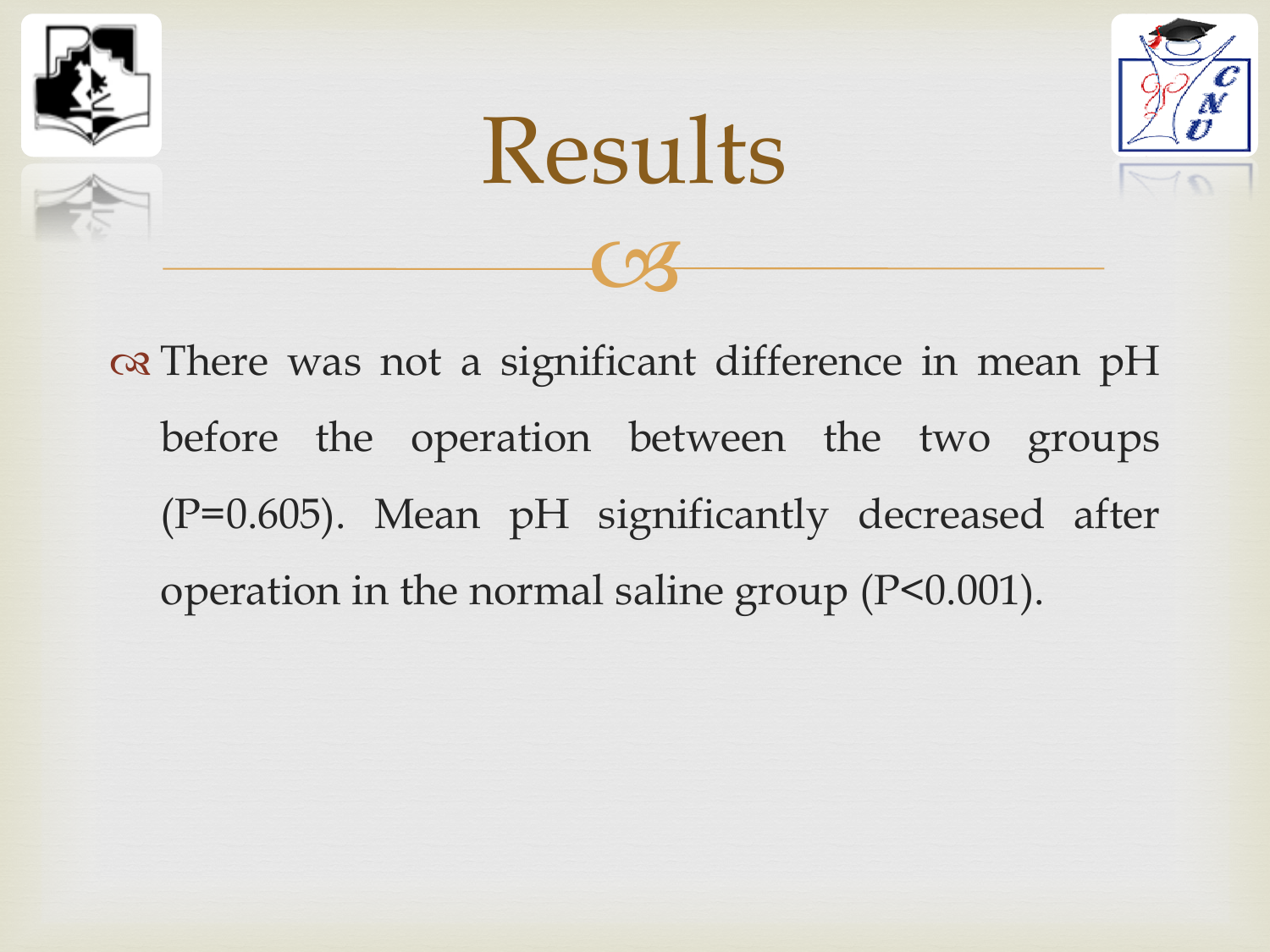



of There was not a significant difference in mean pH before the operation between the two groups (P=0.605). Mean pH significantly decreased after operation in the normal saline group (P<0.001).

 $C<sub>3</sub>$ 

Results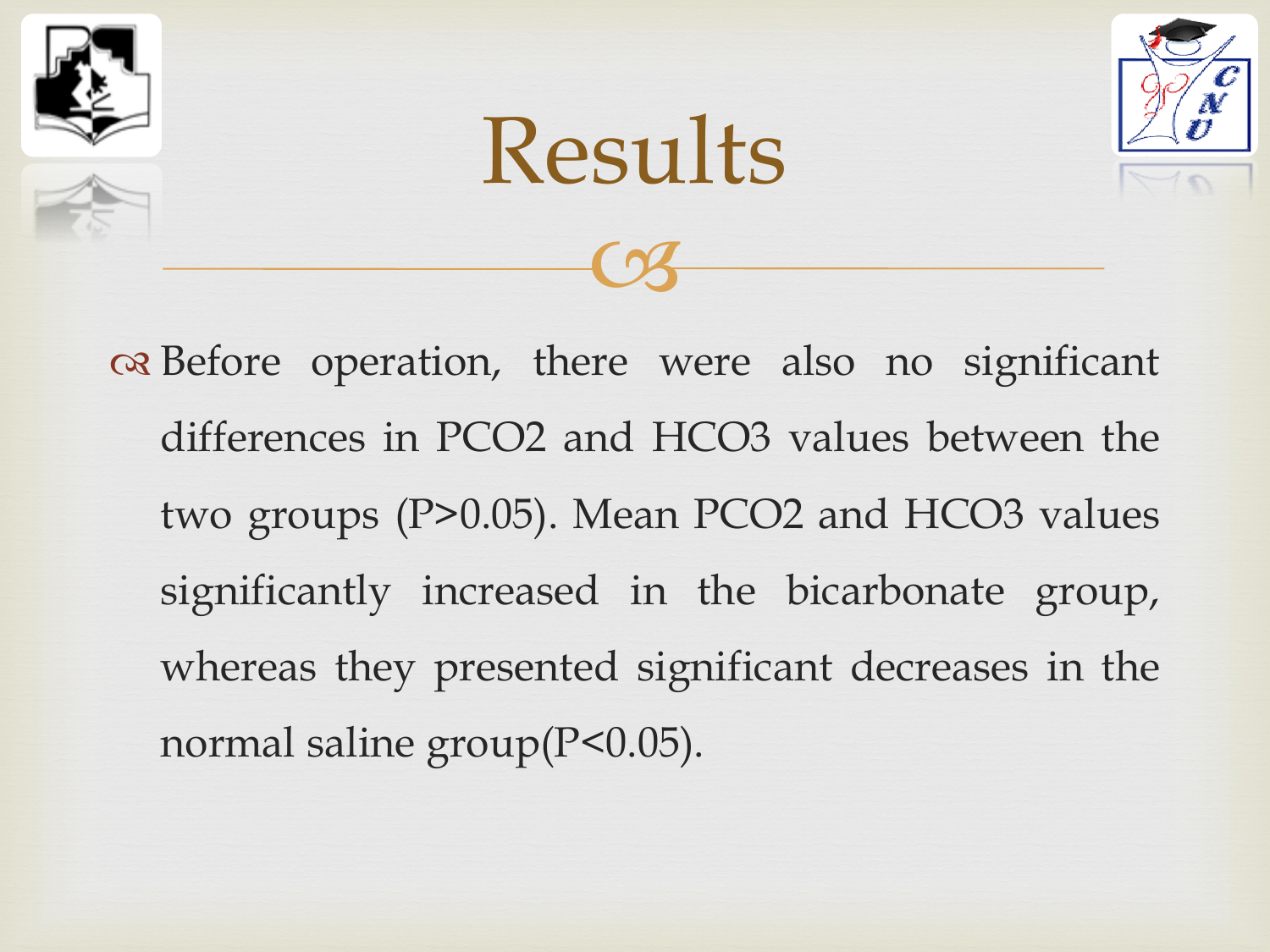



of Before operation, there were also no significant differences in PCO2 and HCO3 values between the two groups (P>0.05). Mean PCO2 and HCO3 values significantly increased in the bicarbonate group, whereas they presented significant decreases in the normal saline group(P<0.05).

 $C<sub>3</sub>$ 

Results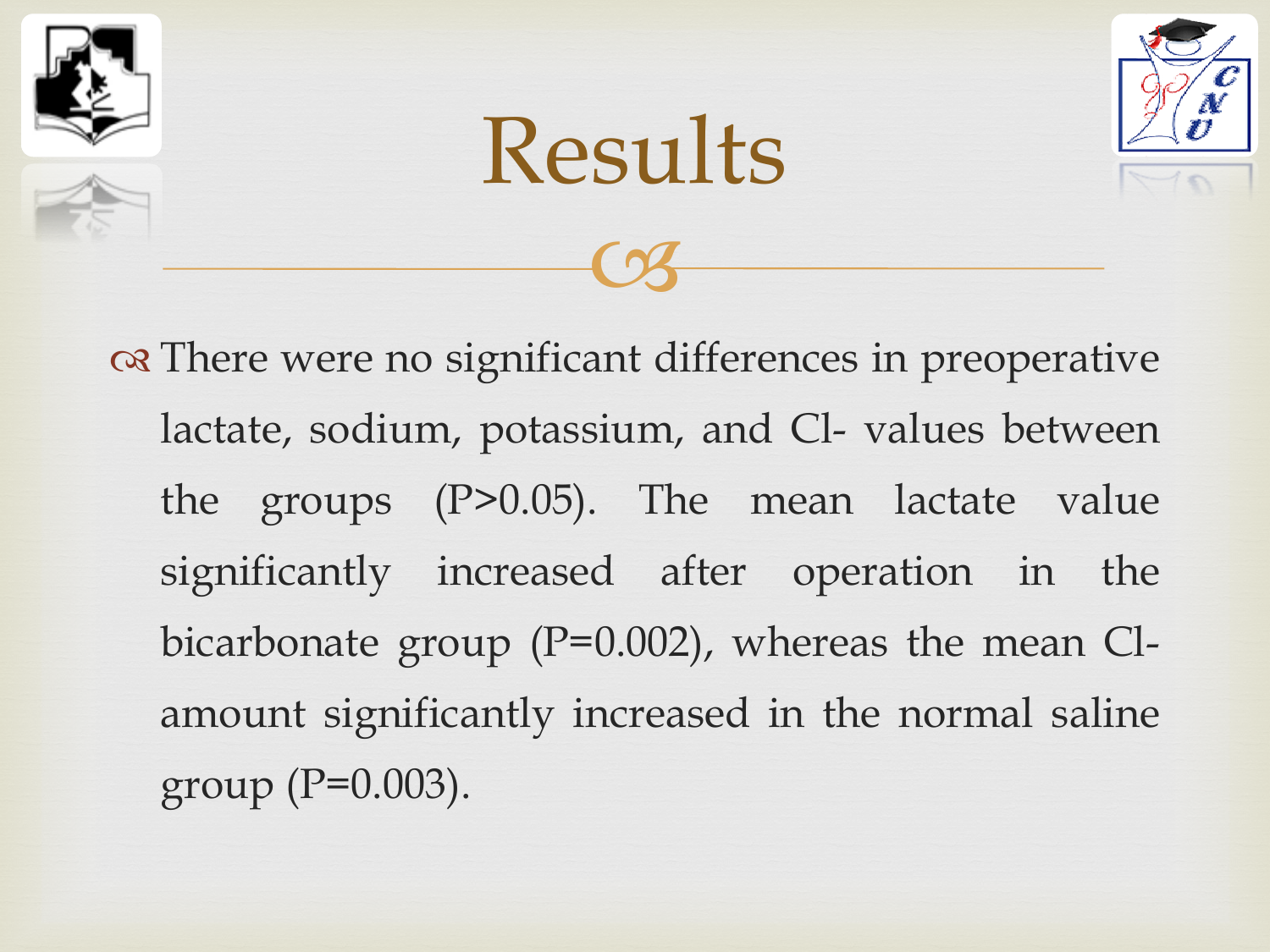





on There were no significant differences in preoperative lactate, sodium, potassium, and Cl- values between the groups (P>0.05). The mean lactate value significantly increased after operation in the bicarbonate group (P=0.002), whereas the mean Clamount significantly increased in the normal saline group (P=0.003).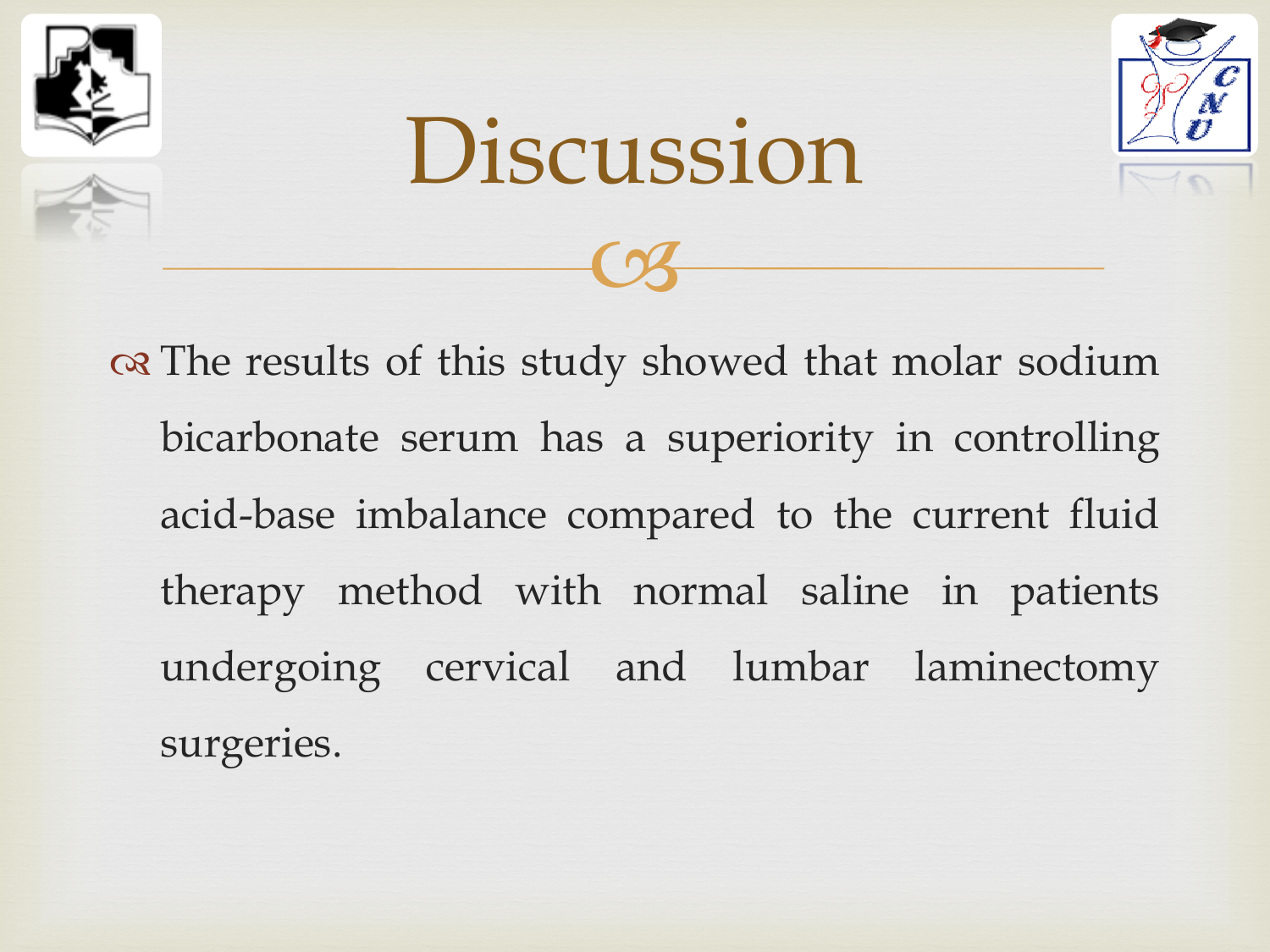





on The results of this study showed that molar sodium bicarbonate serum has a superiority in controlling acid-base imbalance compared to the current fluid therapy method with normal saline in patients undergoing cervical and lumbar laminectomy surgeries.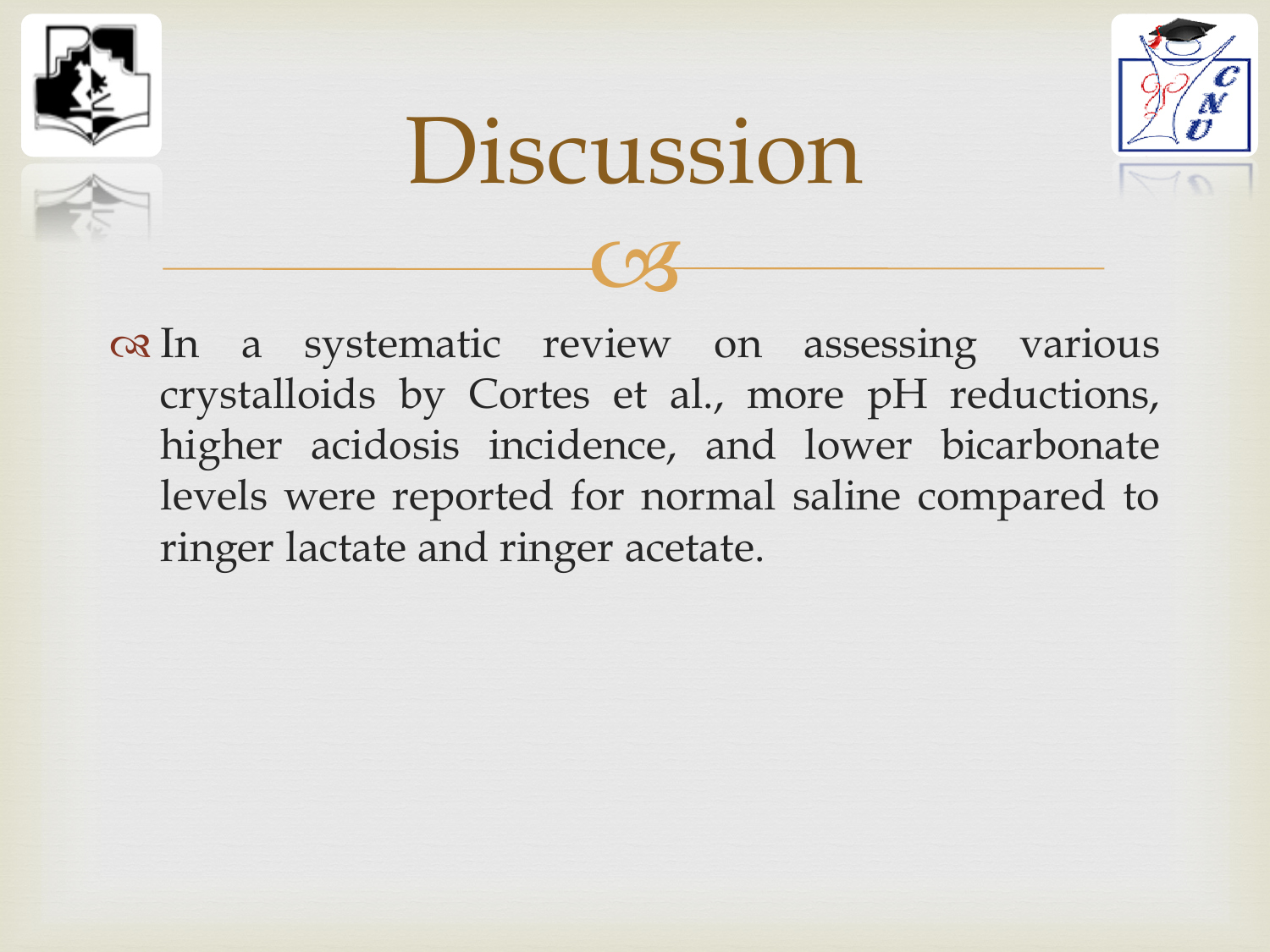





os In a systematic review on assessing various crystalloids by Cortes et al., more pH reductions, higher acidosis incidence, and lower bicarbonate levels were reported for normal saline compared to ringer lactate and ringer acetate.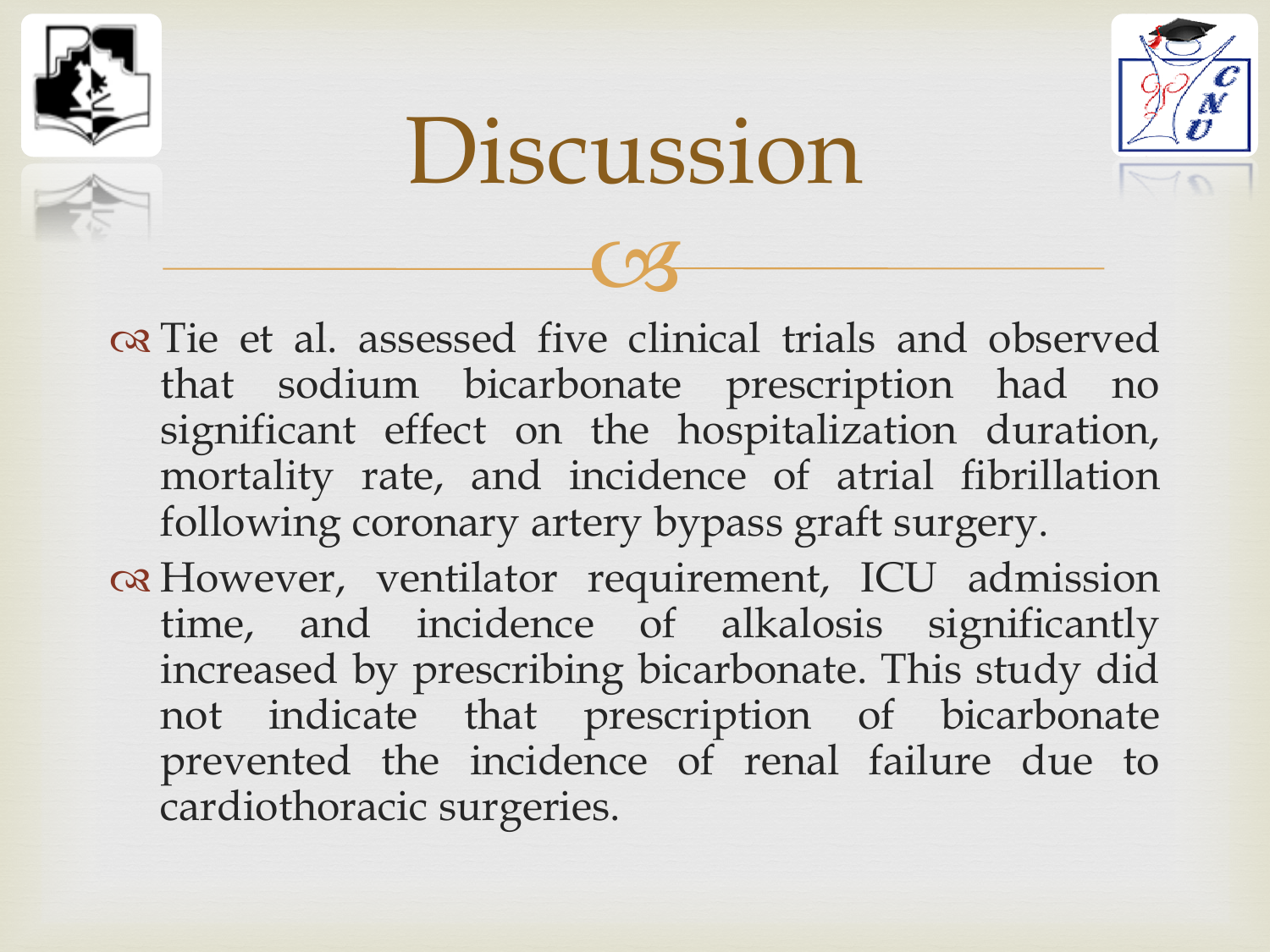





 Tie et al. assessed five clinical trials and observed that sodium bicarbonate prescription had no significant effect on the hospitalization duration, mortality rate, and incidence of atrial fibrillation following coronary artery bypass graft surgery.

 However, ventilator requirement, ICU admission time, and incidence of alkalosis significantly increased by prescribing bicarbonate. This study did not indicate that prescription of bicarbonate prevented the incidence of renal failure due to cardiothoracic surgeries.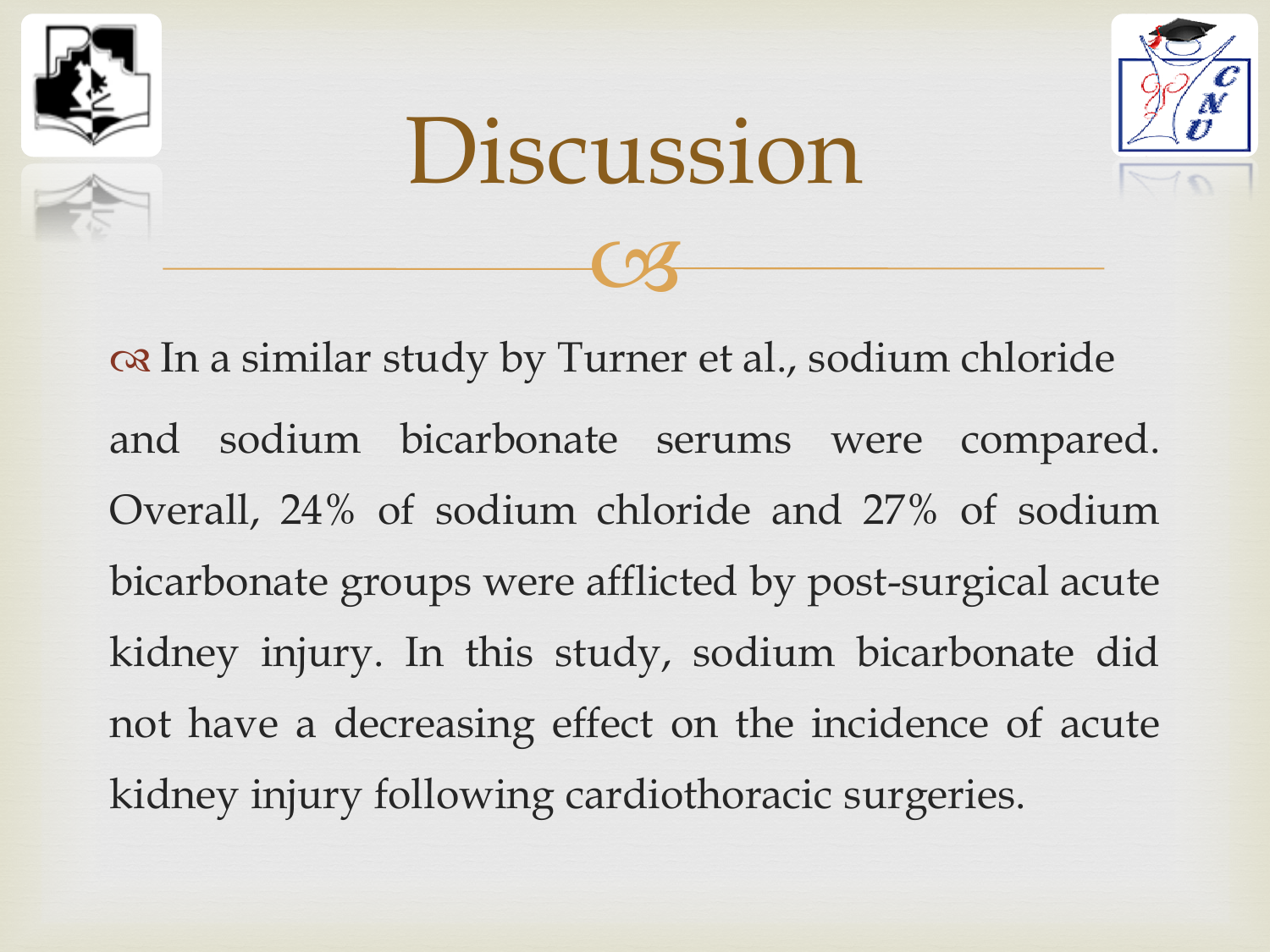





 In a similar study by Turner et al., sodium chloride and sodium bicarbonate serums were compared. Overall, 24% of sodium chloride and 27% of sodium bicarbonate groups were afflicted by post-surgical acute kidney injury. In this study, sodium bicarbonate did not have a decreasing effect on the incidence of acute kidney injury following cardiothoracic surgeries.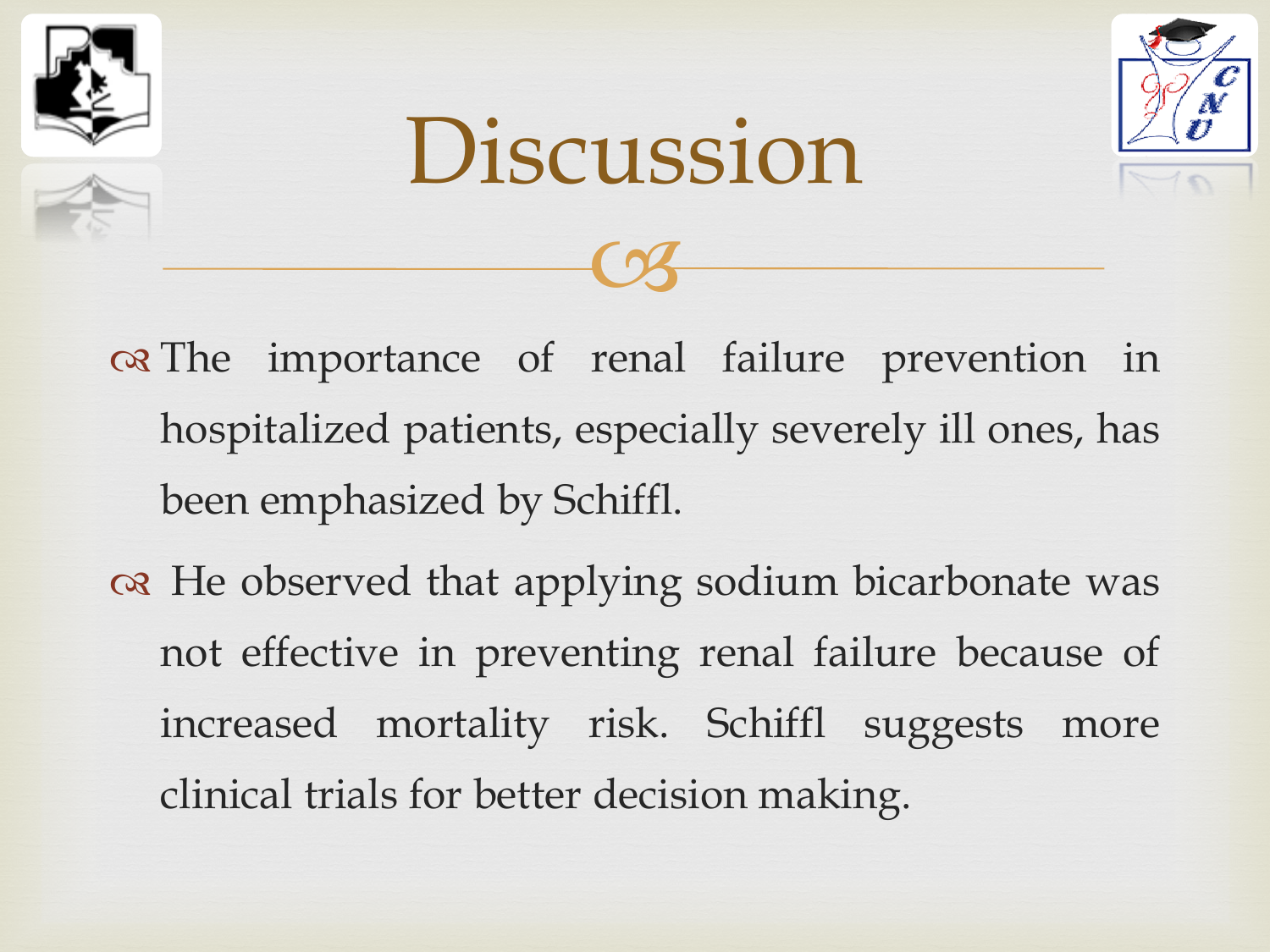





- The importance of renal failure prevention in hospitalized patients, especially severely ill ones, has been emphasized by Schiffl.
- or He observed that applying sodium bicarbonate was not effective in preventing renal failure because of increased mortality risk. Schiffl suggests more clinical trials for better decision making.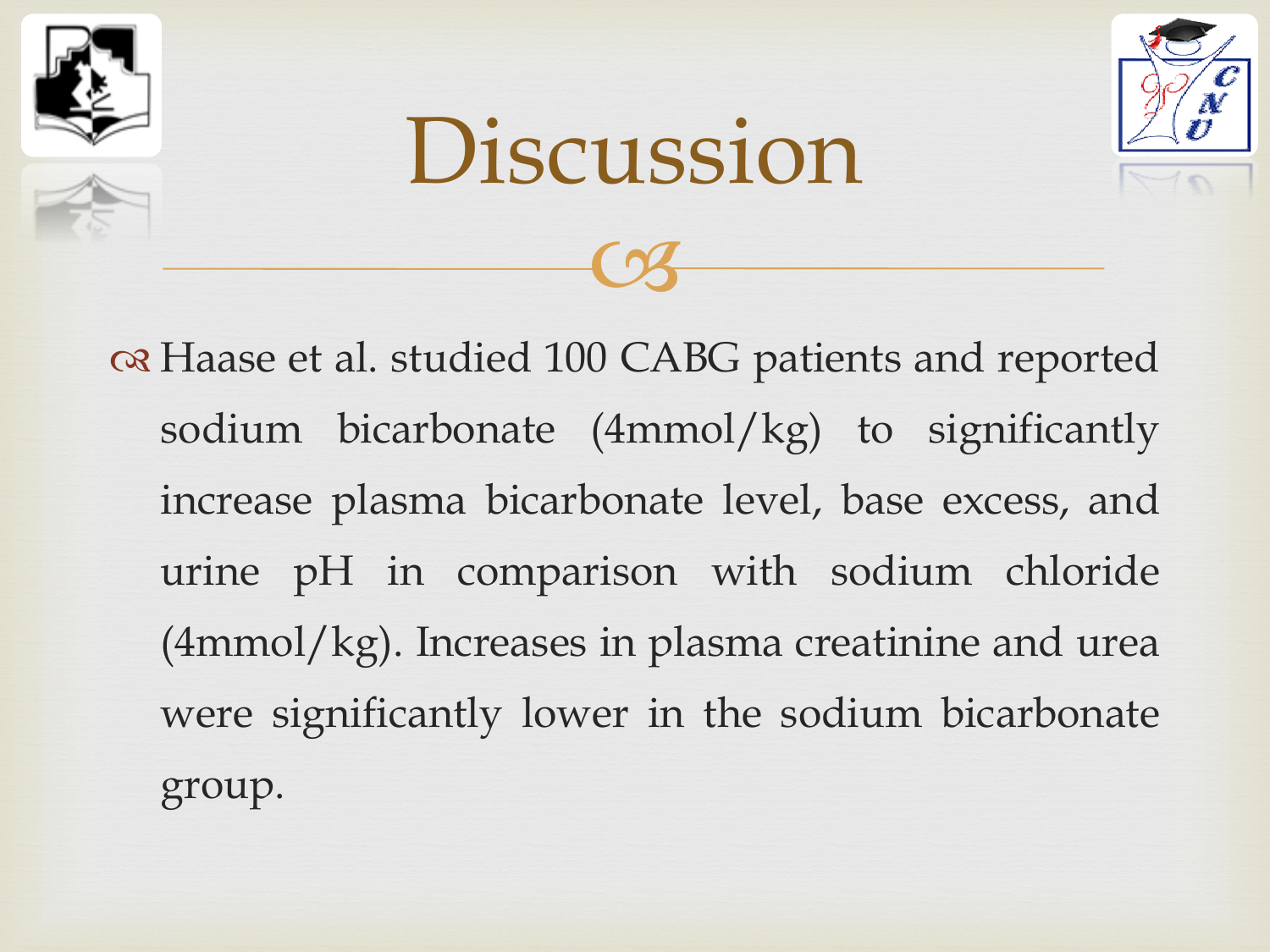





or Haase et al. studied 100 CABG patients and reported sodium bicarbonate (4mmol/kg) to significantly increase plasma bicarbonate level, base excess, and urine pH in comparison with sodium chloride (4mmol/kg). Increases in plasma creatinine and urea were significantly lower in the sodium bicarbonate group.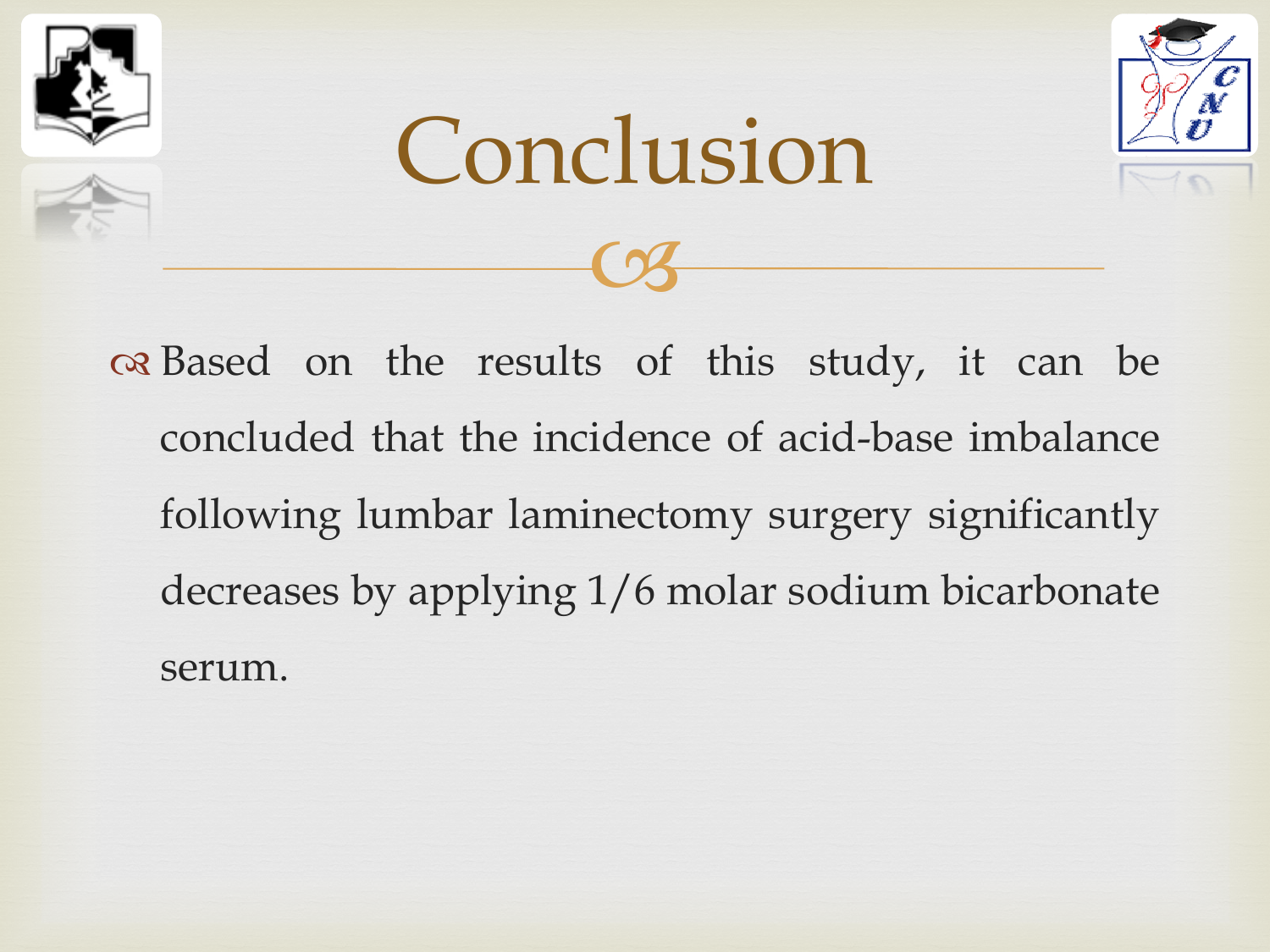





 Based on the results of this study, it can be concluded that the incidence of acid-base imbalance following lumbar laminectomy surgery significantly decreases by applying 1/6 molar sodium bicarbonate serum.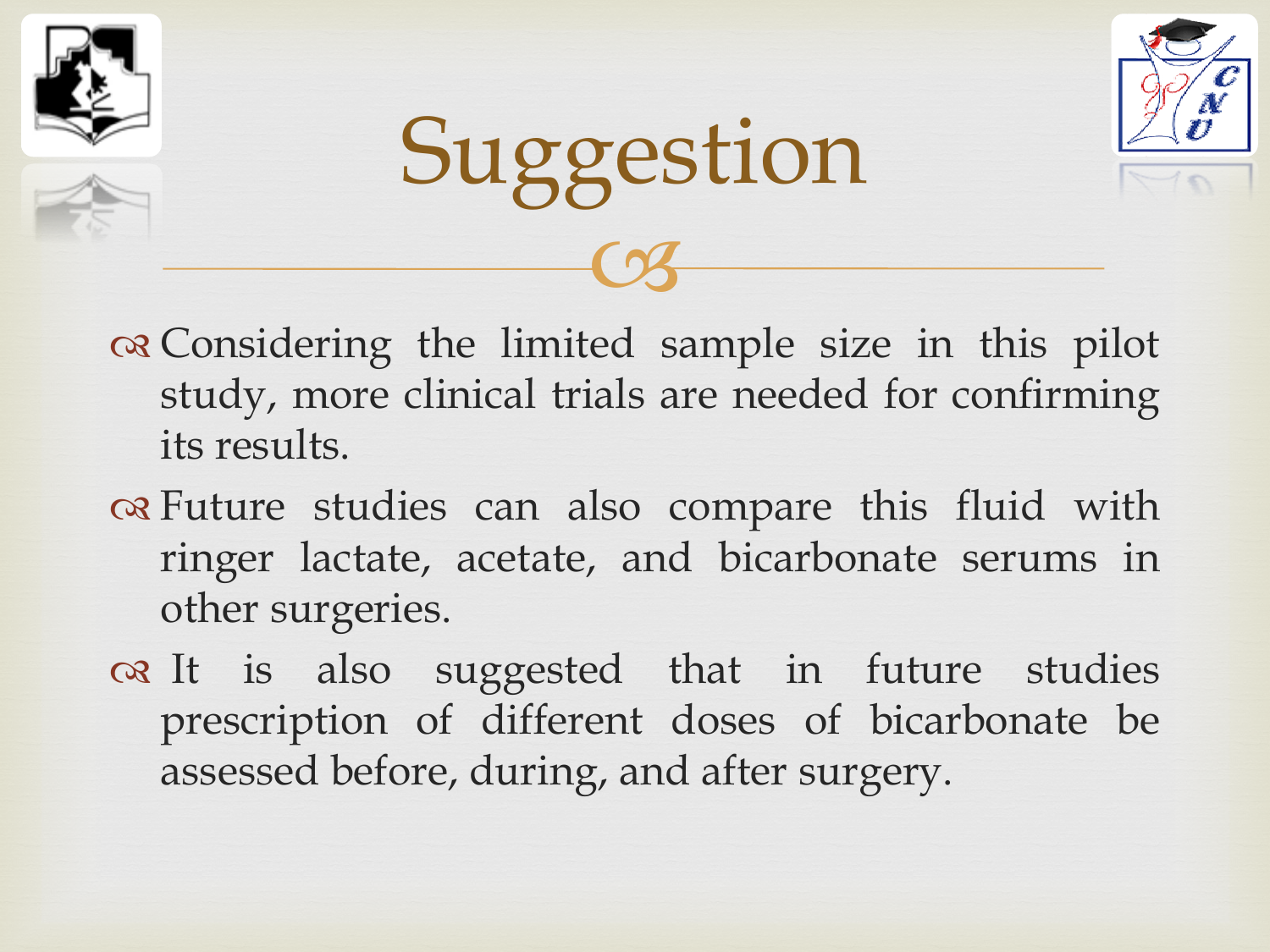





- of Considering the limited sample size in this pilot study, more clinical trials are needed for confirming its results.
- Future studies can also compare this fluid with ringer lactate, acetate, and bicarbonate serums in other surgeries.
- of It is also suggested that in future studies prescription of different doses of bicarbonate be assessed before, during, and after surgery.